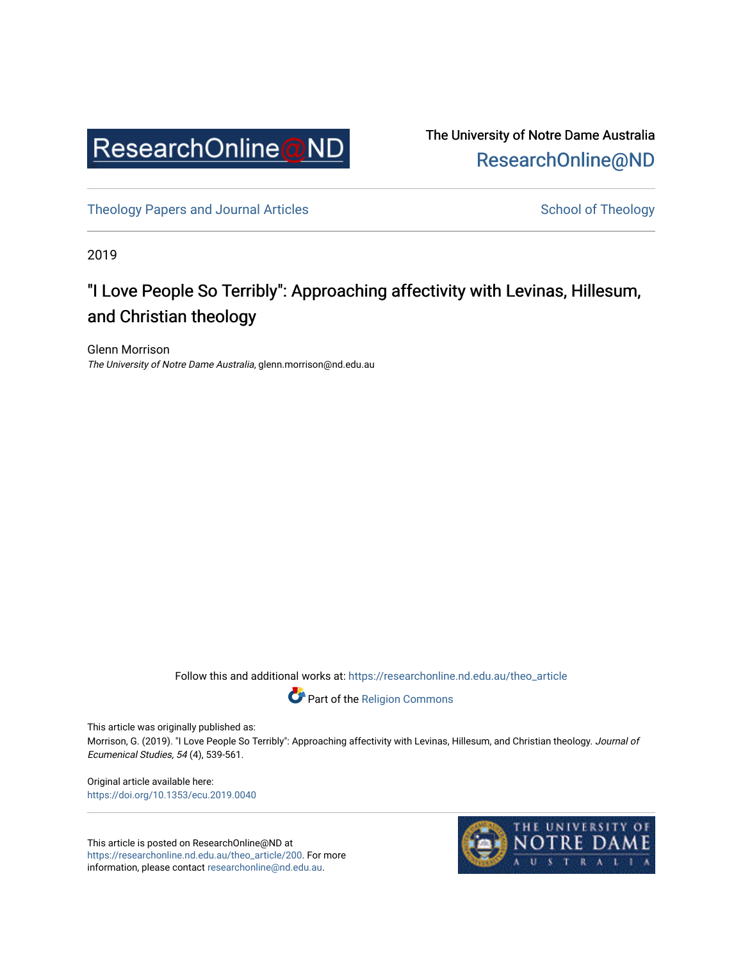

The University of Notre Dame Australia [ResearchOnline@ND](https://researchonline.nd.edu.au/) 

[Theology Papers and Journal Articles](https://researchonline.nd.edu.au/theo_article) and [School of Theology](https://researchonline.nd.edu.au/theo) School of Theology

2019

## "I Love People So Terribly": Approaching affectivity with Levinas, Hillesum, and Christian theology

Glenn Morrison The University of Notre Dame Australia, glenn.morrison@nd.edu.au

Follow this and additional works at: [https://researchonline.nd.edu.au/theo\\_article](https://researchonline.nd.edu.au/theo_article?utm_source=researchonline.nd.edu.au%2Ftheo_article%2F200&utm_medium=PDF&utm_campaign=PDFCoverPages) 



This article was originally published as:

Morrison, G. (2019). "I Love People So Terribly": Approaching affectivity with Levinas, Hillesum, and Christian theology. Journal of Ecumenical Studies, 54 (4), 539-561.

Original article available here: <https://doi.org/10.1353/ecu.2019.0040>

This article is posted on ResearchOnline@ND at [https://researchonline.nd.edu.au/theo\\_article/200](https://researchonline.nd.edu.au/theo_article/200). For more information, please contact [researchonline@nd.edu.au.](mailto:researchonline@nd.edu.au)

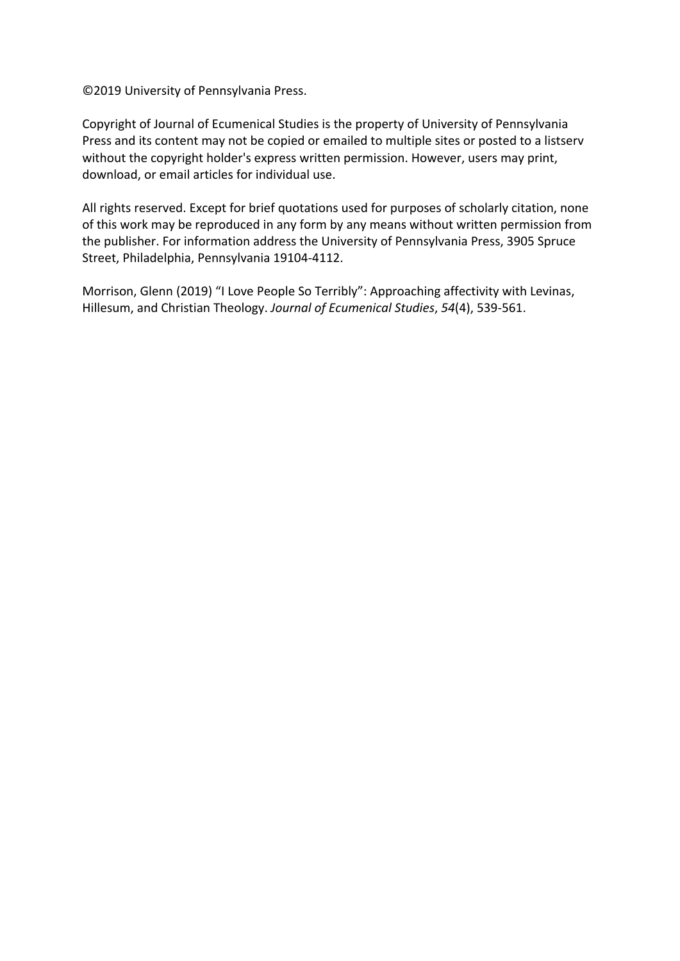©2019 University of Pennsylvania Press.

Copyright of Journal of Ecumenical Studies is the property of University of Pennsylvania Press and its content may not be copied or emailed to multiple sites or posted to a listserv without the copyright holder's express written permission. However, users may print, download, or email articles for individual use.

All rights reserved. Except for brief quotations used for purposes of scholarly citation, none of this work may be reproduced in any form by any means without written permission from the publisher. For information address the University of Pennsylvania Press, 3905 Spruce Street, Philadelphia, Pennsylvania 19104-4112.

Morrison, Glenn (2019) "I Love People So Terribly": Approaching affectivity with Levinas, Hillesum, and Christian Theology. *Journal of Ecumenical Studies*, *54*(4), 539-561.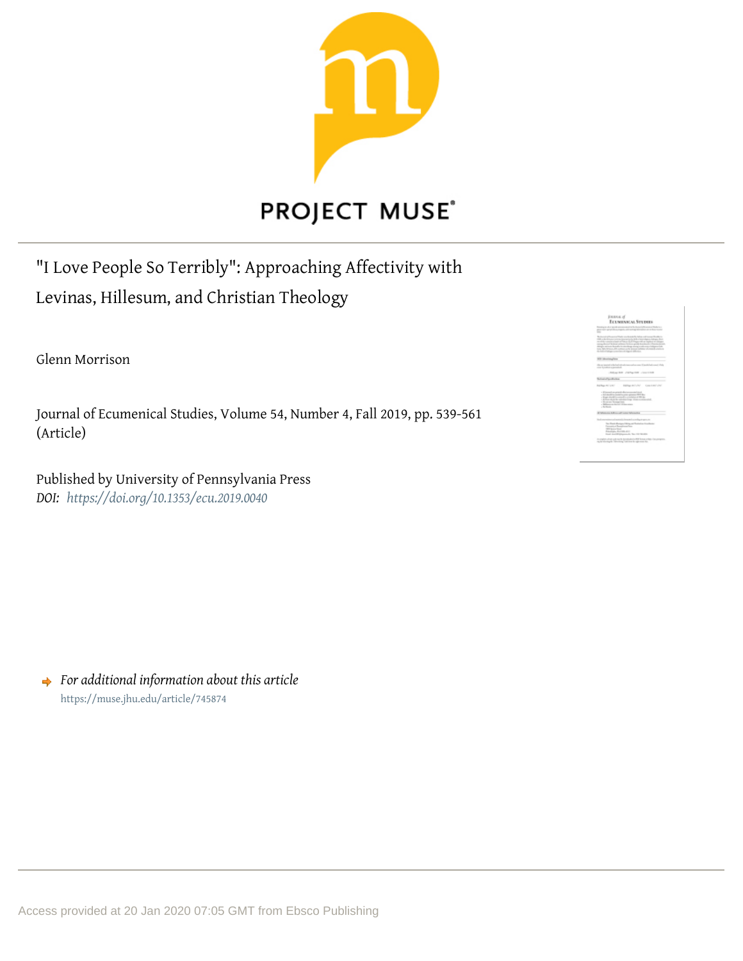

# **PROJECT MUSE®**

"I Love People So Terribly": Approaching Affectivity with Levinas, Hillesum, and Christian Theology

Glenn Morrison

Journal of Ecumenical Studies, Volume 54, Number 4, Fall 2019, pp. 539-561 (Article)

Published by University of Pennsylvania Press *DOI: <https://doi.org/10.1353/ecu.2019.0040>*

*For additional information about this article* <https://muse.jhu.edu/article/745874>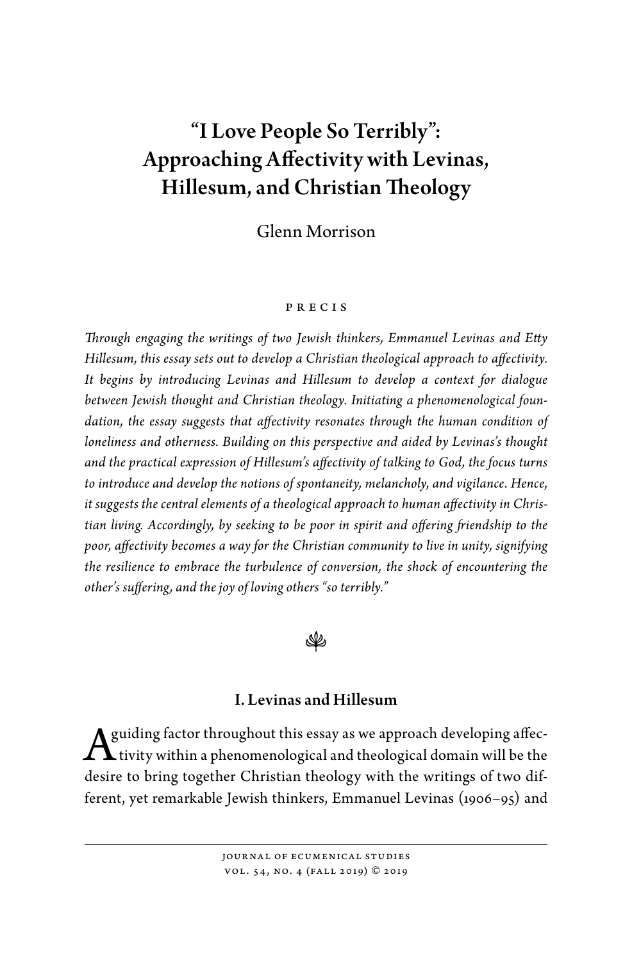## "I Love People So Terribly": Approaching Affectivity with Levinas, Hillesum, and Christian Theology

Glenn Morrison

#### PRECIS

Through engaging the writings of two Jewish thinkers, Emmanuel Levinas and Etty Hillesum, this essay sets out to develop a Christian theological approach to affectivity. *It begins by introducing Levinas and Hillesum to develop a context for dialogue between Jewish thought and Christian theology. Initiating a phenomenological foun*dation, the essay suggests that affectivity resonates through the human condition of *loneliness and otherness. Building on this perspective and aided by Levinas's thought*  and the practical expression of Hillesum's affectivity of talking to God, the focus turns to introduce and develop the notions of spontaneity, melancholy, and vigilance. Hence, it suggests the central elements of a theological approach to human affectivity in Christian living. Accordingly, by seeking to be poor in spirit and offering friendship to the *poor, aff ectivity becomes a way for the Christian community to live in unity, signifying the resilience to embrace the turbulence of conversion, the shock of encountering the*  other's suffering, and the joy of loving others "so terribly."

#### **•**

### I. Levinas and Hillesum

 $A$  guiding factor throughout this essay as we approach developing affectivity within a phenomenological and theological domain will be the desire to bring together Christian theology with the writings of two different, yet remarkable Jewish thinkers, Emmanuel Levinas (1906–95) and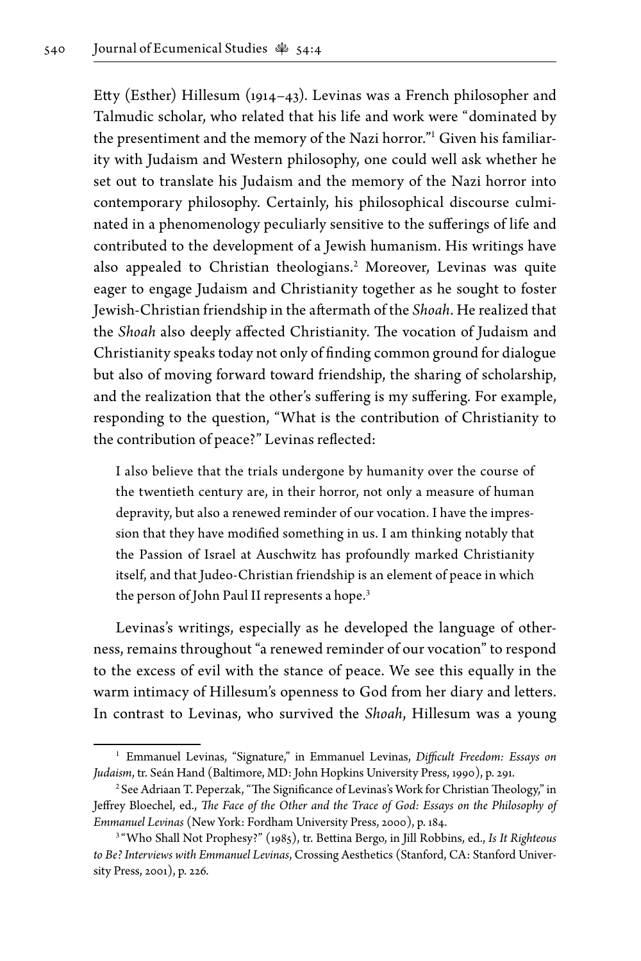Etty (Esther) Hillesum (1914–43). Levinas was a French philosopher and Talmudic scholar, who related that his life and work were "dominated by the presentiment and the memory of the Nazi horror."<sup>1</sup> Given his familiarity with Judaism and Western philosophy, one could well ask whether he set out to translate his Judaism and the memory of the Nazi horror into contemporary philosophy. Certainly, his philosophical discourse culminated in a phenomenology peculiarly sensitive to the sufferings of life and contributed to the development of a Jewish humanism. His writings have also appealed to Christian theologians.<sup>2</sup> Moreover, Levinas was quite eager to engage Judaism and Christianity together as he sought to foster Jewish- Christian friendship in the aft ermath of the *Shoah*. He realized that the *Shoah* also deeply affected Christianity. The vocation of Judaism and Christianity speaks today not only of finding common ground for dialogue but also of moving forward toward friendship, the sharing of scholarship, and the realization that the other's suffering is my suffering. For example, responding to the question, "What is the contribution of Christianity to the contribution of peace?" Levinas reflected:

I also believe that the trials undergone by humanity over the course of the twentieth century are, in their horror, not only a measure of human depravity, but also a renewed reminder of our vocation. I have the impression that they have modified something in us. I am thinking notably that the Passion of Israel at Auschwitz has profoundly marked Christianity itself, and that Judeo- Christian friendship is an element of peace in which the person of John Paul II represents a hope.<sup>3</sup>

 Levinas's writings, especially as he developed the language of otherness, remains throughout "a renewed reminder of our vocation" to respond to the excess of evil with the stance of peace. We see this equally in the warm intimacy of Hillesum's openness to God from her diary and letters. In contrast to Levinas, who survived the *Shoah*, Hillesum was a young

<sup>&</sup>lt;sup>1</sup> Emmanuel Levinas, "Signature," in Emmanuel Levinas, Difficult Freedom: Essays on *Judaism*, tr. Seán Hand (Baltimore, MD: John Hopkins University Press, 1990), p. 291.

<sup>&</sup>lt;sup>2</sup> See Adriaan T. Peperzak, "The Significance of Levinas's Work for Christian Theology," in Jeffrey Bloechel, ed., *The Face of the Other and the Trace of God: Essays on the Philosophy of Emmanuel Levinas* (New York: Fordham University Press, 2000), p. 184.

<sup>&</sup>lt;sup>3</sup> "Who Shall Not Prophesy?" (1985), tr. Bettina Bergo, in Jill Robbins, ed., *Is It Righteous to Be? Interviews with Emmanuel Levinas*, Crossing Aesthetics (Stanford, CA: Stanford University Press, 2001), p. 226.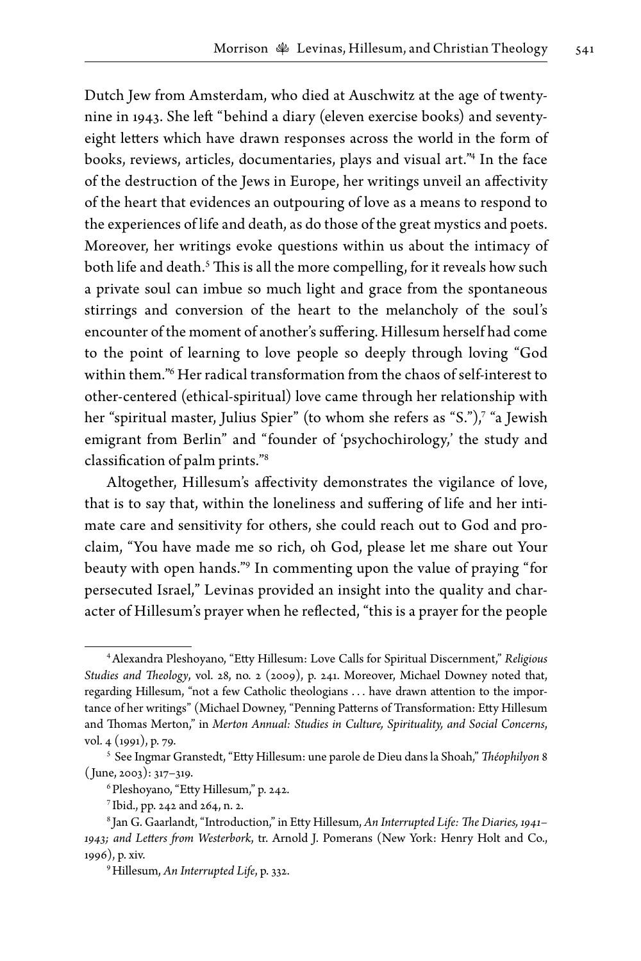Dutch Jew from Amsterdam, who died at Auschwitz at the age of twentynine in 1943. She left "behind a diary (eleven exercise books) and seventyeight letters which have drawn responses across the world in the form of books, reviews, articles, documentaries, plays and visual art."4 In the face of the destruction of the Jews in Europe, her writings unveil an affectivity of the heart that evidences an outpouring of love as a means to respond to the experiences of life and death, as do those of the great mystics and poets. Moreover, her writings evoke questions within us about the intimacy of both life and death.<sup>5</sup> This is all the more compelling, for it reveals how such a private soul can imbue so much light and grace from the spontaneous stirrings and conversion of the heart to the melancholy of the soul's encounter of the moment of another's suffering. Hillesum herself had come to the point of learning to love people so deeply through loving "God within them."<sup>6</sup> Her radical transformation from the chaos of self-interest to other- centered (ethical- spiritual) love came through her relationship with her "spiritual master, Julius Spier" (to whom she refers as "S."),7 "a Jewish emigrant from Berlin" and "founder of 'psychochirology,' the study and classification of palm prints."<sup>8</sup>

Altogether, Hillesum's affectivity demonstrates the vigilance of love, that is to say that, within the loneliness and suffering of life and her intimate care and sensitivity for others, she could reach out to God and proclaim, "You have made me so rich, oh God, please let me share out Your beauty with open hands."9 In commenting upon the value of praying "for persecuted Israel," Levinas provided an insight into the quality and character of Hillesum's prayer when he reflected, "this is a prayer for the people

<sup>&</sup>lt;sup>4</sup> Alexandra Pleshoyano, "Etty Hillesum: Love Calls for Spiritual Discernment," Religious *Studies and Theology*, vol. 28, no. 2 (2009), p. 241. Moreover, Michael Downey noted that, regarding Hillesum, "not a few Catholic theologians ... have drawn attention to the importance of her writings" (Michael Downey, "Penning Patterns of Transformation: Etty Hillesum and Thomas Merton," in *Merton Annual: Studies in Culture, Spirituality, and Social Concerns,* vol. 4 (1991), p. 79.

<sup>&</sup>lt;sup>5</sup> See Ingmar Granstedt, "Etty Hillesum: une parole de Dieu dans la Shoah," *Théophilyon* 8 ( June, 2003): 317–319.

<sup>&</sup>lt;sup>6</sup> Pleshoyano, "Etty Hillesum," p. 242.

<sup>7</sup> Ibid., pp. 242 and 264, n. 2.

 $^8$ Jan G. Gaarlandt, "Introduction," in Etty Hillesum*, An Interrupted Life: The Diaries, 1941–* 1943; and Letters from Westerbork, tr. Arnold J. Pomerans (New York: Henry Holt and Co., 1996), p. xiv.

<sup>9</sup> Hillesum, *An Interrupted Life*, p. 332.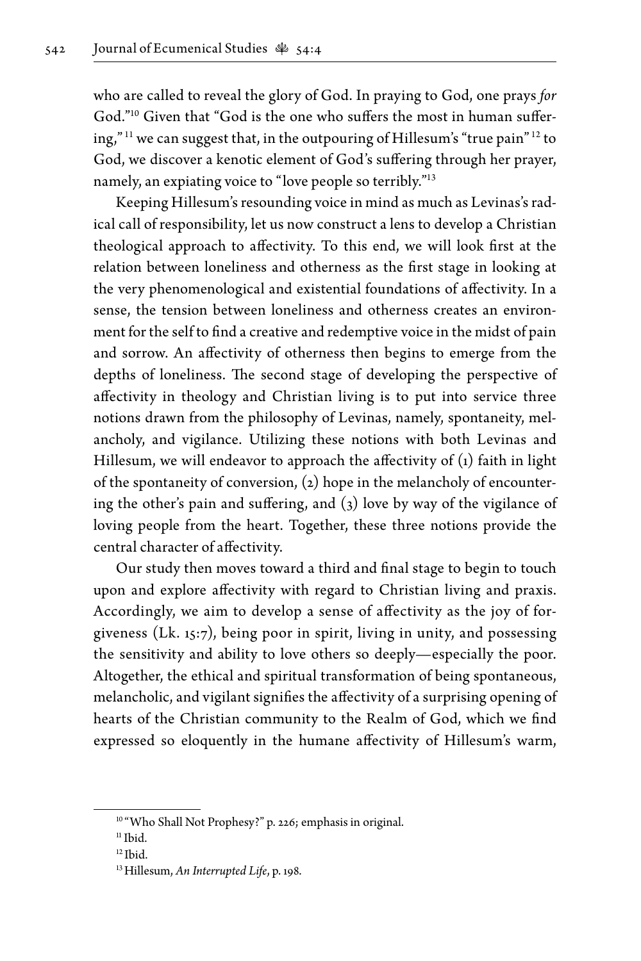who are called to reveal the glory of God. In praying to God, one prays *for* God."<sup>10</sup> Given that "God is the one who suffers the most in human suffering,"<sup>11</sup> we can suggest that, in the outpouring of Hillesum's "true pain"<sup>12</sup> to God, we discover a kenotic element of God's suffering through her prayer, namely, an expiating voice to "love people so terribly."13

 Keeping Hillesum's resounding voice in mind as much as Levinas's radical call of responsibility, let us now construct a lens to develop a Christian theological approach to affectivity. To this end, we will look first at the relation between loneliness and otherness as the first stage in looking at the very phenomenological and existential foundations of affectivity. In a sense, the tension between loneliness and otherness creates an environment for the self to find a creative and redemptive voice in the midst of pain and sorrow. An affectivity of otherness then begins to emerge from the depths of loneliness. The second stage of developing the perspective of affectivity in theology and Christian living is to put into service three notions drawn from the philosophy of Levinas, namely, spontaneity, melancholy, and vigilance. Utilizing these notions with both Levinas and Hillesum, we will endeavor to approach the affectivity of  $(i)$  faith in light of the spontaneity of conversion, (2) hope in the melancholy of encountering the other's pain and suffering, and  $(3)$  love by way of the vigilance of loving people from the heart. Together, these three notions provide the central character of affectivity.

Our study then moves toward a third and final stage to begin to touch upon and explore affectivity with regard to Christian living and praxis. Accordingly, we aim to develop a sense of affectivity as the joy of forgiveness (Lk. 15:7), being poor in spirit, living in unity, and possessing the sensitivity and ability to love others so deeply—especially the poor. Altogether, the ethical and spiritual transformation of being spontaneous, melancholic, and vigilant signifies the affectivity of a surprising opening of hearts of the Christian community to the Realm of God, which we find expressed so eloquently in the humane affectivity of Hillesum's warm,

<sup>10 &</sup>quot;Who Shall Not Prophesy?" p. 226; emphasis in original.

<sup>&</sup>lt;sup>11</sup> Ibid.

 $^{12}$  Ibid.

<sup>13</sup> Hillesum, *An Interrupted Life*, p. 198.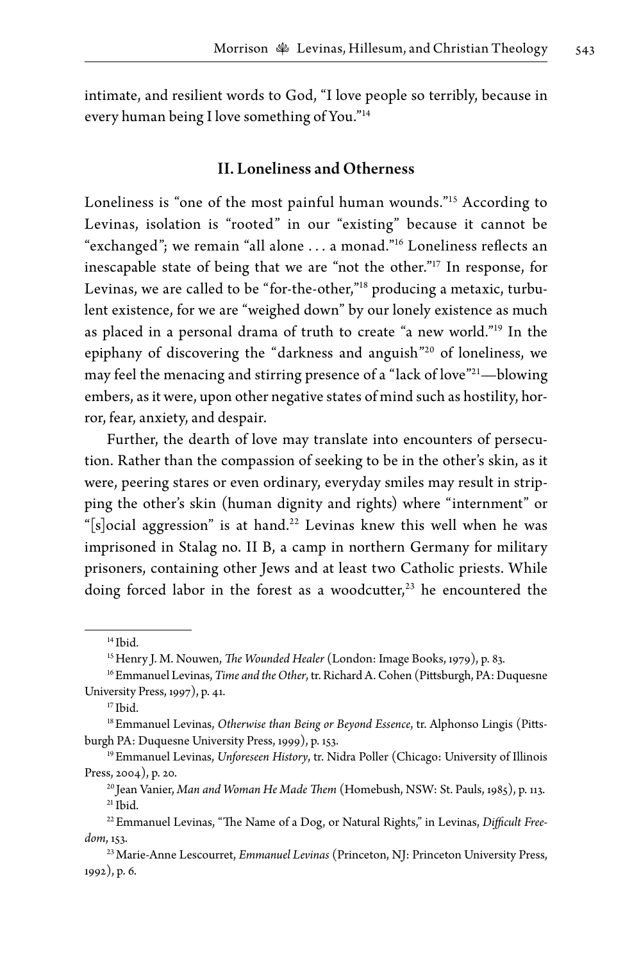intimate, and resilient words to God, "I love people so terribly, because in every human being I love something of You."14

#### II. Loneliness and Otherness

Loneliness is "one of the most painful human wounds."15 According to Levinas, isolation is "rooted" in our "existing" because it cannot be "exchanged"; we remain "all alone ... a monad."<sup>16</sup> Loneliness reflects an inescapable state of being that we are "not the other."17 In response, for Levinas, we are called to be "for-the-other,"<sup>18</sup> producing a metaxic, turbulent existence, for we are "weighed down" by our lonely existence as much as placed in a personal drama of truth to create "a new world."19 In the epiphany of discovering the "darkness and anguish"20 of loneliness, we may feel the menacing and stirring presence of a "lack of love"21—blowing embers, as it were, upon other negative states of mind such as hostility, horror, fear, anxiety, and despair.

 Further, the dearth of love may translate into encounters of persecution. Rather than the compassion of seeking to be in the other's skin, as it were, peering stares or even ordinary, everyday smiles may result in stripping the other's skin (human dignity and rights) where "internment" or "[s]ocial aggression" is at hand.<sup>22</sup> Levinas knew this well when he was imprisoned in Stalag no. II B, a camp in northern Germany for military prisoners, containing other Jews and at least two Catholic priests. While doing forced labor in the forest as a woodcutter,<sup>23</sup> he encountered the

<sup>14</sup> Ibid.

<sup>&</sup>lt;sup>15</sup> Henry J. M. Nouwen, *The Wounded Healer* (London: Image Books, 1979), p. 83.

<sup>&</sup>lt;sup>16</sup> Emmanuel Levinas, *Time and the Other*, tr. Richard A. Cohen (Pittsburgh, PA: Duquesne University Press, 1997), p. 41.

 $^{\rm 17}$  Ibid.

<sup>&</sup>lt;sup>18</sup> Emmanuel Levinas, Otherwise than Being or Beyond Essence, tr. Alphonso Lingis (Pittsburgh PA: Duquesne University Press, 1999), p. 153.

<sup>19</sup> Emmanuel Levinas, *Unforeseen History*, tr. Nidra Poller (Chicago: University of Illinois Press, 2004), p. 20.

<sup>&</sup>lt;sup>20</sup> Jean Vanier, *Man and Woman He Made Them* (Homebush, NSW: St. Pauls, 1985), p. 113.  $21$  Ibid.

<sup>&</sup>lt;sup>22</sup> Emmanuel Levinas, "The Name of a Dog, or Natural Rights," in Levinas, Difficult Free*dom*, 153.

<sup>&</sup>lt;sup>23</sup> Marie-Anne Lescourret, *Emmanuel Levinas* (Princeton, NJ: Princeton University Press, 1992), p. 6.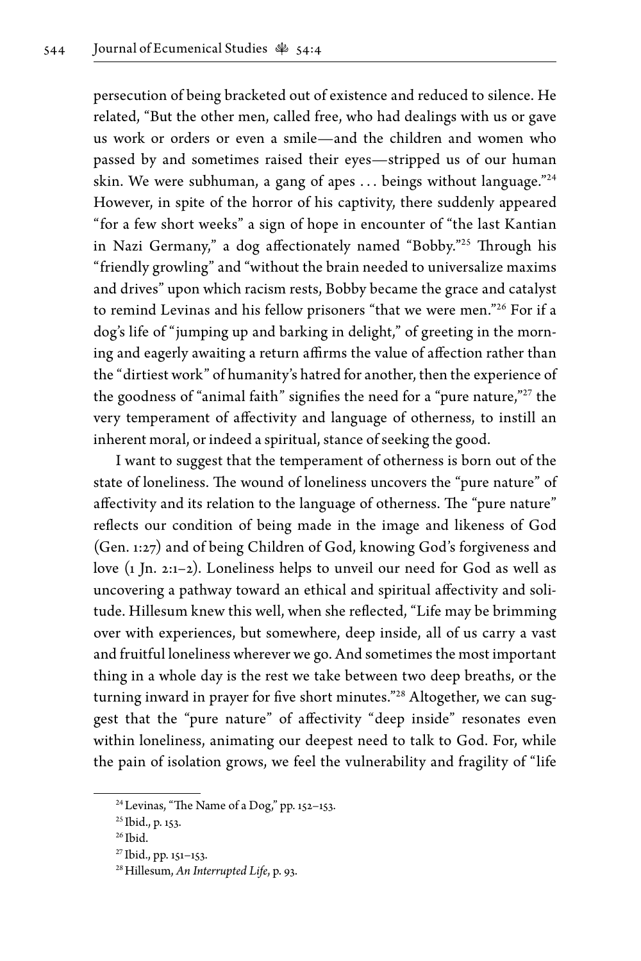persecution of being bracketed out of existence and reduced to silence. He related, "But the other men, called free, who had dealings with us or gave us work or orders or even a smile—and the children and women who passed by and sometimes raised their eyes—stripped us of our human skin. We were subhuman, a gang of apes . . . beings without language."24 However, in spite of the horror of his captivity, there suddenly appeared "for a few short weeks" a sign of hope in encounter of "the last Kantian in Nazi Germany," a dog affectionately named "Bobby."<sup>25</sup> Through his "friendly growling" and "without the brain needed to universalize maxims and drives" upon which racism rests, Bobby became the grace and catalyst to remind Levinas and his fellow prisoners "that we were men."26 For if a dog's life of "jumping up and barking in delight," of greeting in the morning and eagerly awaiting a return affirms the value of affection rather than the "dirtiest work" of humanity's hatred for another, then the experience of the goodness of "animal faith" signifies the need for a "pure nature,"<sup>27</sup> the very temperament of affectivity and language of otherness, to instill an inherent moral, or indeed a spiritual, stance of seeking the good.

 I want to suggest that the temperament of otherness is born out of the state of loneliness. The wound of loneliness uncovers the "pure nature" of affectivity and its relation to the language of otherness. The "pure nature" reflects our condition of being made in the image and likeness of God (Gen. 1:27) and of being Children of God, knowing God's forgiveness and love (1 Jn. 2:1–2). Loneliness helps to unveil our need for God as well as uncovering a pathway toward an ethical and spiritual affectivity and solitude. Hillesum knew this well, when she reflected, "Life may be brimming over with experiences, but somewhere, deep inside, all of us carry a vast and fruitful loneliness wherever we go. And sometimes the most important thing in a whole day is the rest we take between two deep breaths, or the turning inward in prayer for five short minutes."<sup>28</sup> Altogether, we can suggest that the "pure nature" of affectivity "deep inside" resonates even within loneliness, animating our deepest need to talk to God. For, while the pain of isolation grows, we feel the vulnerability and fragility of "life

 $24$  Levinas, "The Name of a Dog," pp. 152-153.

<sup>25</sup> Ibid., p. 153.

<sup>26</sup> Ibid.

<sup>27</sup> Ibid., pp. 151–153.

<sup>28</sup> Hillesum, *An Interrupted Life*, p. 93.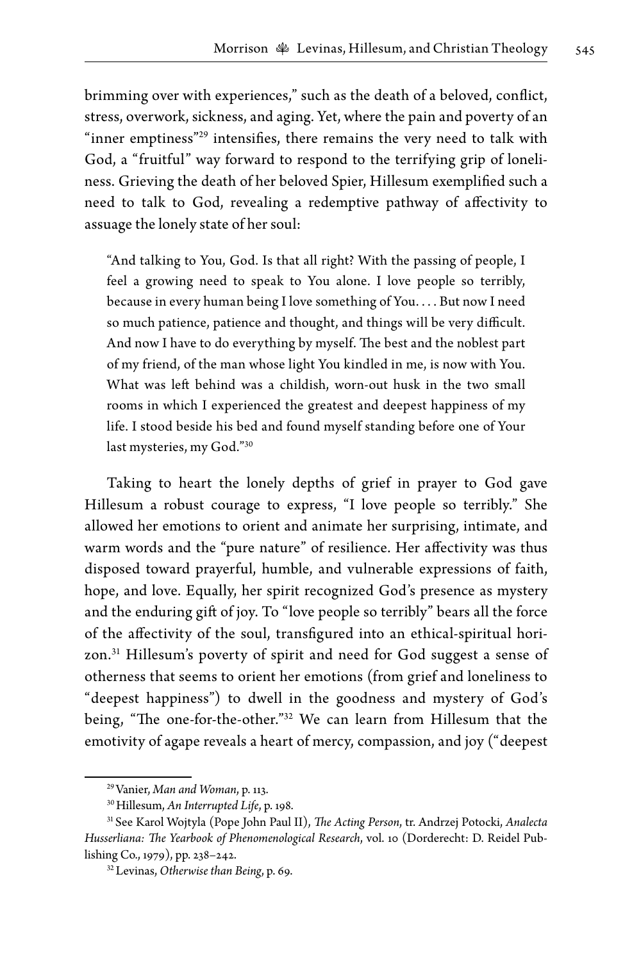brimming over with experiences," such as the death of a beloved, conflict, stress, overwork, sickness, and aging. Yet, where the pain and poverty of an "inner emptiness"<sup>29</sup> intensifies, there remains the very need to talk with God, a "fruitful" way forward to respond to the terrifying grip of loneliness. Grieving the death of her beloved Spier, Hillesum exemplified such a need to talk to God, revealing a redemptive pathway of affectivity to assuage the lonely state of her soul:

"And talking to You, God. Is that all right? With the passing of people, I feel a growing need to speak to You alone. I love people so terribly, because in every human being I love something of You. . . . But now I need so much patience, patience and thought, and things will be very difficult. And now I have to do everything by myself. The best and the noblest part of my friend, of the man whose light You kindled in me, is now with You. What was left behind was a childish, worn- out husk in the two small rooms in which I experienced the greatest and deepest happiness of my life. I stood beside his bed and found myself standing before one of Your last mysteries, my God."30

 Taking to heart the lonely depths of grief in prayer to God gave Hillesum a robust courage to express, "I love people so terribly." She allowed her emotions to orient and animate her surprising, intimate, and warm words and the "pure nature" of resilience. Her affectivity was thus disposed toward prayerful, humble, and vulnerable expressions of faith, hope, and love. Equally, her spirit recognized God's presence as mystery and the enduring gift of joy. To "love people so terribly" bears all the force of the affectivity of the soul, transfigured into an ethical-spiritual horizon.<sup>31</sup> Hillesum's poverty of spirit and need for God suggest a sense of otherness that seems to orient her emotions (from grief and loneliness to "deepest happiness") to dwell in the goodness and mystery of God's being, "The one-for-the-other."<sup>32</sup> We can learn from Hillesum that the emotivity of agape reveals a heart of mercy, compassion, and joy ("deepest

<sup>29</sup> Vanier, *Man and Woman*, p. 113.

<sup>30</sup> Hillesum, *An Interrupted Life*, p. 198.

<sup>&</sup>lt;sup>31</sup> See Karol Wojtyla (Pope John Paul II), *The Acting Person,* tr. Andrzej Potocki, *Analecta* Husserliana: The Yearbook of Phenomenological Research, vol. 10 (Dorderecht: D. Reidel Publishing Co., 1979), pp. 238–242.

<sup>32</sup> Levinas, *Otherwise than Being*, p. 69.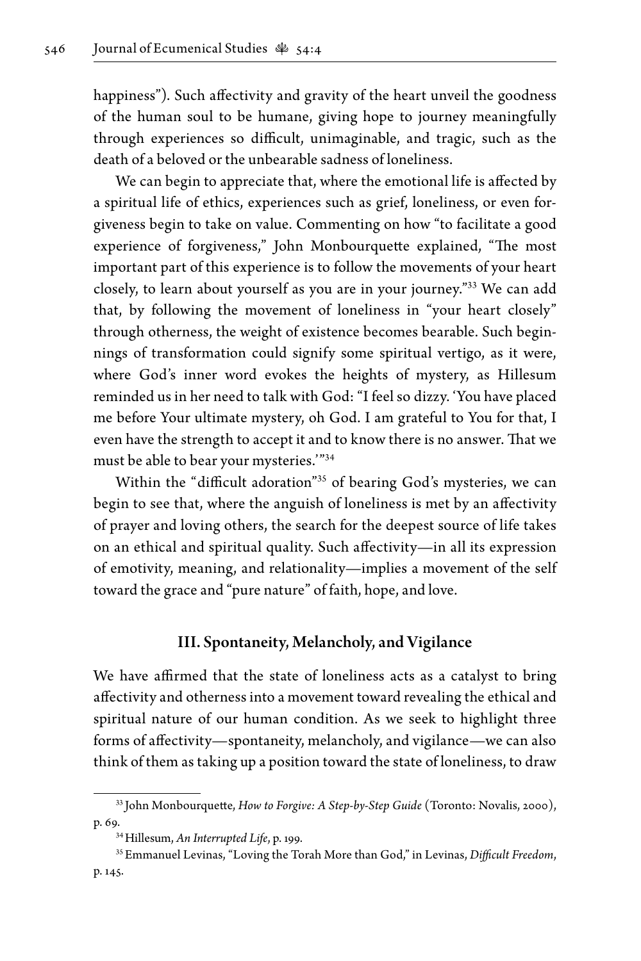happiness"). Such affectivity and gravity of the heart unveil the goodness of the human soul to be humane, giving hope to journey meaningfully through experiences so difficult, unimaginable, and tragic, such as the death of a beloved or the unbearable sadness of loneliness.

We can begin to appreciate that, where the emotional life is affected by a spiritual life of ethics, experiences such as grief, loneliness, or even forgiveness begin to take on value. Commenting on how "to facilitate a good experience of forgiveness," John Monbourquette explained, "The most important part of this experience is to follow the movements of your heart closely, to learn about yourself as you are in your journey."33 We can add that, by following the movement of loneliness in "your heart closely" through otherness, the weight of existence becomes bearable. Such beginnings of transformation could signify some spiritual vertigo, as it were, where God's inner word evokes the heights of mystery, as Hillesum reminded us in her need to talk with God: "I feel so dizzy. 'You have placed me before Your ultimate mystery, oh God. I am grateful to You for that, I even have the strength to accept it and to know there is no answer. That we must be able to bear your mysteries."<sup>34</sup>

Within the "difficult adoration"<sup>35</sup> of bearing God's mysteries, we can begin to see that, where the anguish of loneliness is met by an affectivity of prayer and loving others, the search for the deepest source of life takes on an ethical and spiritual quality. Such affectivity—in all its expression of emotivity, meaning, and relationality—implies a movement of the self toward the grace and "pure nature" of faith, hope, and love.

#### III. Spontaneity, Melancholy, and Vigilance

We have affirmed that the state of loneliness acts as a catalyst to bring affectivity and otherness into a movement toward revealing the ethical and spiritual nature of our human condition. As we seek to highlight three forms of affectivity—spontaneity, melancholy, and vigilance—we can also think of them as taking up a position toward the state of loneliness, to draw

<sup>&</sup>lt;sup>33</sup> John Monbourquette, *How to Forgive: A Step-by-Step Guide* (Toronto: Novalis, 2000), p. 69.34 Hillesum, *An Interrupted Life*, p. 199.

<sup>&</sup>lt;sup>35</sup> Emmanuel Levinas, "Loving the Torah More than God," in Levinas, *Difficult Freedom*, p. 145.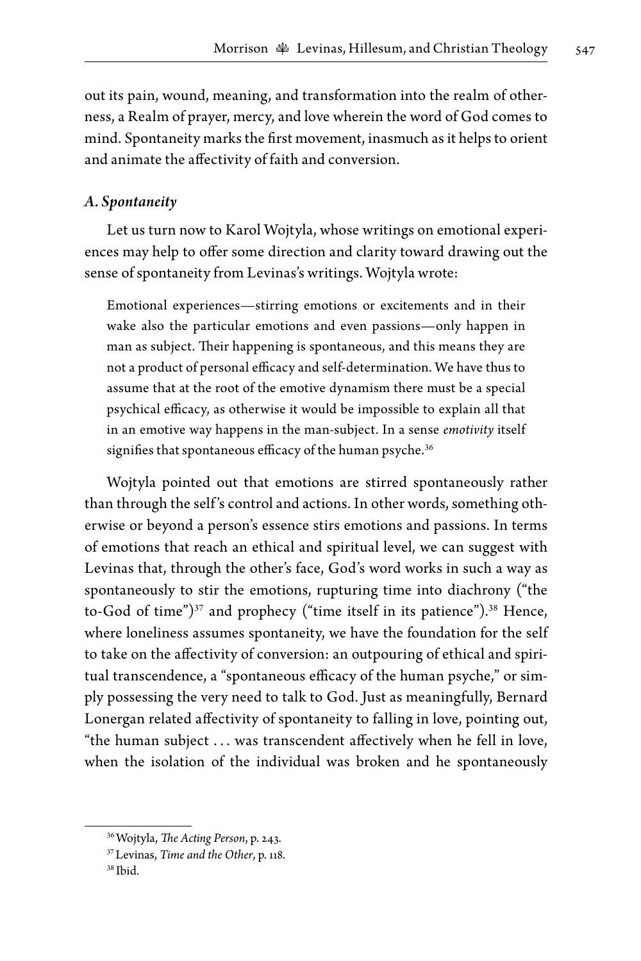out its pain, wound, meaning, and transformation into the realm of otherness, a Realm of prayer, mercy, and love wherein the word of God comes to mind. Spontaneity marks the first movement, inasmuch as it helps to orient and animate the affectivity of faith and conversion.

#### *A. Spontaneity*

 Let us turn now to Karol Wojtyla, whose writings on emotional experiences may help to offer some direction and clarity toward drawing out the sense of spontaneity from Levinas's writings. Wojtyla wrote:

Emotional experiences—stirring emotions or excitements and in their wake also the particular emotions and even passions—only happen in man as subject. Their happening is spontaneous, and this means they are not a product of personal efficacy and self-determination. We have thus to assume that at the root of the emotive dynamism there must be a special psychical efficacy, as otherwise it would be impossible to explain all that in an emotive way happens in the man- subject. In a sense *emotivity* itself signifies that spontaneous efficacy of the human psyche.<sup>36</sup>

 Wojtyla pointed out that emotions are stirred spontaneously rather than through the self 's control and actions. In other words, something otherwise or beyond a person's essence stirs emotions and passions. In terms of emotions that reach an ethical and spiritual level, we can suggest with Levinas that, through the other's face, God's word works in such a way as spontaneously to stir the emotions, rupturing time into diachrony ("the to-God of time") $37$  and prophecy ("time itself in its patience"). $38$  Hence, where loneliness assumes spontaneity, we have the foundation for the self to take on the affectivity of conversion: an outpouring of ethical and spiritual transcendence, a "spontaneous efficacy of the human psyche," or simply possessing the very need to talk to God. Just as meaningfully, Bernard Lonergan related affectivity of spontaneity to falling in love, pointing out, "the human subject ... was transcendent affectively when he fell in love, when the isolation of the individual was broken and he spontaneously

<sup>&</sup>lt;sup>36</sup> Wojtyla, *The Acting Person*, p. 243.

<sup>37</sup> Levinas, *Time and the Other*, p. 118.

<sup>38</sup> Ibid.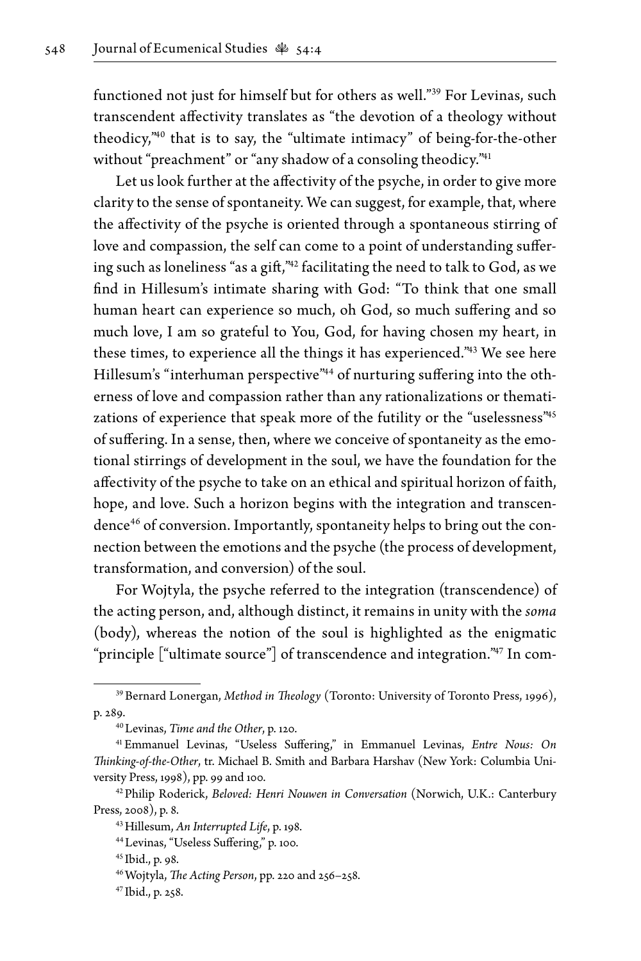functioned not just for himself but for others as well."<sup>39</sup> For Levinas, such transcendent affectivity translates as "the devotion of a theology without theodicy,<sup>240</sup> that is to say, the "ultimate intimacy" of being-for-the-other without "preachment" or "any shadow of a consoling theodicy."<sup>41</sup>

Let us look further at the affectivity of the psyche, in order to give more clarity to the sense of spontaneity. We can suggest, for example, that, where the affectivity of the psyche is oriented through a spontaneous stirring of love and compassion, the self can come to a point of understanding suffering such as loneliness "as a gift,"<sup>42</sup> facilitating the need to talk to God, as we find in Hillesum's intimate sharing with God: "To think that one small human heart can experience so much, oh God, so much suffering and so much love, I am so grateful to You, God, for having chosen my heart, in these times, to experience all the things it has experienced."43 We see here Hillesum's "interhuman perspective"<sup>44</sup> of nurturing suffering into the otherness of love and compassion rather than any rationalizations or thematizations of experience that speak more of the futility or the "uselessness"<sup>45</sup> of suffering. In a sense, then, where we conceive of spontaneity as the emotional stirrings of development in the soul, we have the foundation for the affectivity of the psyche to take on an ethical and spiritual horizon of faith, hope, and love. Such a horizon begins with the integration and transcendence<sup>46</sup> of conversion. Importantly, spontaneity helps to bring out the connection between the emotions and the psyche (the process of development, transformation, and conversion) of the soul.

 For Wojtyla, the psyche referred to the integration (transcendence) of the acting person, and, although distinct, it remains in unity with the *soma* (body), whereas the notion of the soul is highlighted as the enigmatic "principle ["ultimate source"] of transcendence and integration."47 In com-

<sup>&</sup>lt;sup>39</sup> Bernard Lonergan, *Method in Theology* (Toronto: University of Toronto Press, 1996), p. 289.

<sup>40</sup> Levinas, *Time and the Other*, p. 120.

<sup>&</sup>lt;sup>41</sup> Emmanuel Levinas, "Useless Suffering," in Emmanuel Levinas, *Entre Nous: On Th inking- of- the- Other*, tr. Michael B. Smith and Barbara Harshav (New York: Columbia University Press, 1998), pp. 99 and 100.

<sup>42</sup> Philip Roderick, *Beloved: Henri Nouwen in Conversation* (Norwich, U.K.: Canterbury Press, 2008), p. 8.

<sup>43</sup> Hillesum, *An Interrupted Life*, p. 198.

<sup>&</sup>lt;sup>44</sup> Levinas, "Useless Suffering," p. 100.

<sup>45</sup> Ibid., p. 98.

<sup>&</sup>lt;sup>46</sup> Wojtyla, *The Acting Person*, pp. 220 and 256-258.

<sup>47</sup> Ibid., p. 258.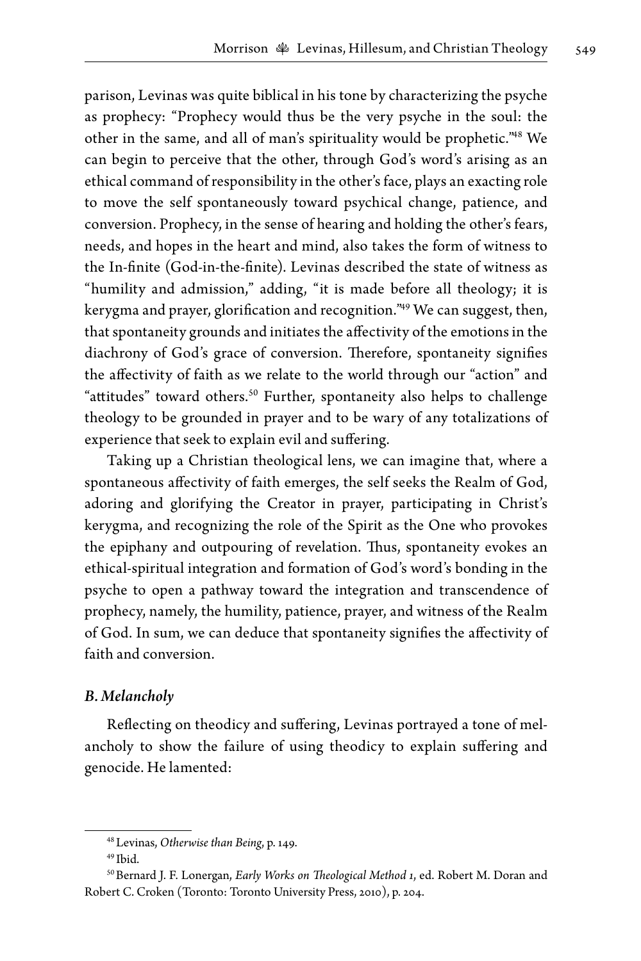parison, Levinas was quite biblical in his tone by characterizing the psyche as prophecy: "Prophecy would thus be the very psyche in the soul: the other in the same, and all of man's spirituality would be prophetic."48 We can begin to perceive that the other, through God's word's arising as an ethical command of responsibility in the other's face, plays an exacting role to move the self spontaneously toward psychical change, patience, and conversion. Prophecy, in the sense of hearing and holding the other's fears, needs, and hopes in the heart and mind, also takes the form of witness to the In-finite (God-in-the-finite). Levinas described the state of witness as "humility and admission," adding, "it is made before all theology; it is kerygma and prayer, glorification and recognition."<sup>49</sup> We can suggest, then, that spontaneity grounds and initiates the affectivity of the emotions in the diachrony of God's grace of conversion. Therefore, spontaneity signifies the affectivity of faith as we relate to the world through our "action" and "attitudes" toward others.<sup>50</sup> Further, spontaneity also helps to challenge theology to be grounded in prayer and to be wary of any totalizations of experience that seek to explain evil and suffering.

 Taking up a Christian theological lens, we can imagine that, where a spontaneous affectivity of faith emerges, the self seeks the Realm of God, adoring and glorifying the Creator in prayer, participating in Christ's kerygma, and recognizing the role of the Spirit as the One who provokes the epiphany and outpouring of revelation. Thus, spontaneity evokes an ethical- spiritual integration and formation of God's word's bonding in the psyche to open a pathway toward the integration and transcendence of prophecy, namely, the humility, patience, prayer, and witness of the Realm of God. In sum, we can deduce that spontaneity signifies the affectivity of faith and conversion.

#### *B. Melancholy*

Reflecting on theodicy and suffering, Levinas portrayed a tone of melancholy to show the failure of using theodicy to explain suffering and genocide. He lamented:

<sup>48</sup> Levinas, *Otherwise than Being*, p. 149.

<sup>49</sup> Ibid.

<sup>&</sup>lt;sup>50</sup> Bernard J. F. Lonergan, *Early Works on Theological Method 1*, ed. Robert M. Doran and Robert C. Croken (Toronto: Toronto University Press, 2010), p. 204.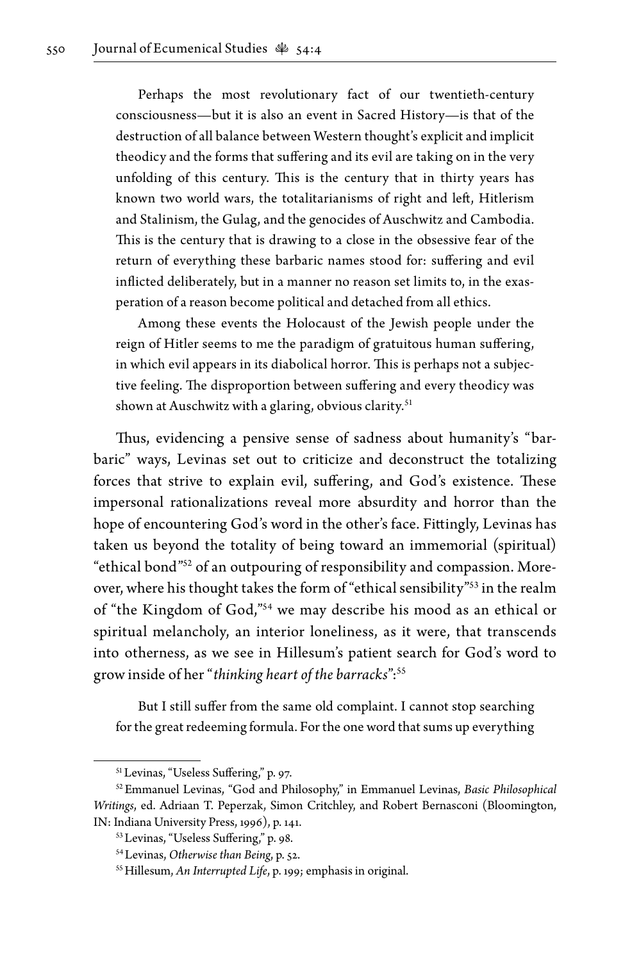Perhaps the most revolutionary fact of our twentieth-century consciousness—but it is also an event in Sacred History—is that of the destruction of all balance between Western thought's explicit and implicit theodicy and the forms that suffering and its evil are taking on in the very unfolding of this century. This is the century that in thirty years has known two world wars, the totalitarianisms of right and left, Hitlerism and Stalinism, the Gulag, and the genocides of Auschwitz and Cambodia. This is the century that is drawing to a close in the obsessive fear of the return of everything these barbaric names stood for: suffering and evil inflicted deliberately, but in a manner no reason set limits to, in the exasperation of a reason become political and detached from all ethics.

 Among these events the Holocaust of the Jewish people under the reign of Hitler seems to me the paradigm of gratuitous human suffering, in which evil appears in its diabolical horror. This is perhaps not a subjective feeling. The disproportion between suffering and every theodicy was shown at Auschwitz with a glaring, obvious clarity.<sup>51</sup>

Thus, evidencing a pensive sense of sadness about humanity's "barbaric" ways, Levinas set out to criticize and deconstruct the totalizing forces that strive to explain evil, suffering, and God's existence. These impersonal rationalizations reveal more absurdity and horror than the hope of encountering God's word in the other's face. Fittingly, Levinas has taken us beyond the totality of being toward an immemorial (spiritual) "ethical bond"52 of an outpouring of responsibility and compassion. Moreover, where his thought takes the form of "ethical sensibility"53 in the realm of "the Kingdom of God,"54 we may describe his mood as an ethical or spiritual melancholy, an interior loneliness, as it were, that transcends into otherness, as we see in Hillesum's patient search for God's word to grow inside of her "*thinking heart of the barracks*":55

But I still suffer from the same old complaint. I cannot stop searching for the great redeeming formula. For the one word that sums up everything

<sup>&</sup>lt;sup>51</sup> Levinas, "Useless Suffering," p. 97.

<sup>52</sup> Emmanuel Levinas, "God and Philosophy," in Emmanuel Levinas, *Basic Philosophical Writings*, ed. Adriaan T. Peperzak, Simon Critchley, and Robert Bernasconi (Bloomington, IN: Indiana University Press, 1996), p. 141.

<sup>&</sup>lt;sup>53</sup> Levinas, "Useless Suffering," p. 98.

<sup>54</sup> Levinas, *Otherwise than Being*, p. 52.

<sup>55</sup> Hillesum, *An Interrupted Life*, p. 199; emphasis in original.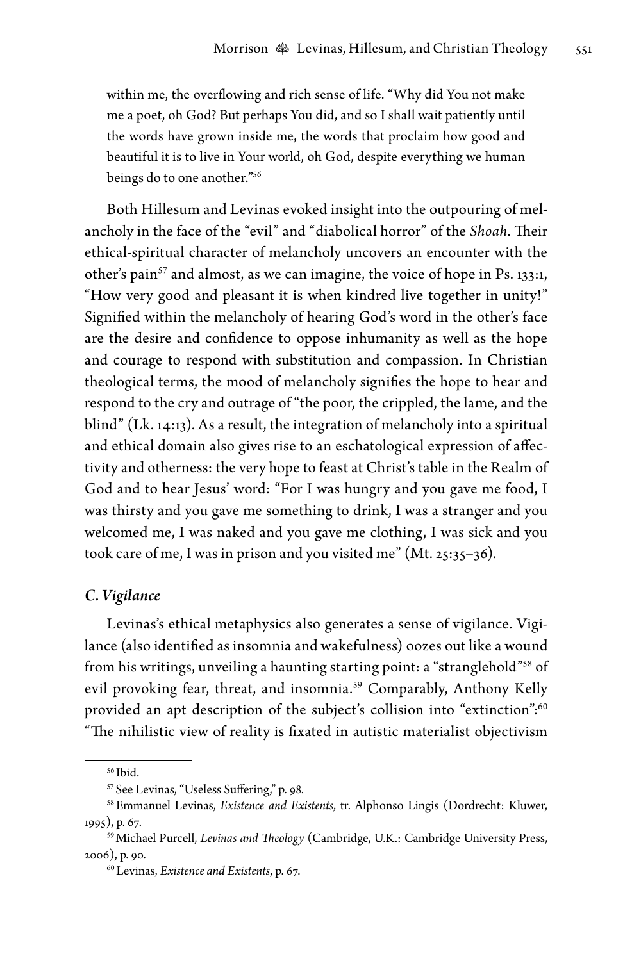within me, the overflowing and rich sense of life. "Why did You not make me a poet, oh God? But perhaps You did, and so I shall wait patiently until the words have grown inside me, the words that proclaim how good and beautiful it is to live in Your world, oh God, despite everything we human beings do to one another."56

 Both Hillesum and Levinas evoked insight into the outpouring of melancholy in the face of the "evil" and "diabolical horror" of the *Shoah*. Their ethical- spiritual character of melancholy uncovers an encounter with the other's pain<sup>57</sup> and almost, as we can imagine, the voice of hope in Ps. 133:1, "How very good and pleasant it is when kindred live together in unity!" Signified within the melancholy of hearing God's word in the other's face are the desire and confidence to oppose inhumanity as well as the hope and courage to respond with substitution and compassion. In Christian theological terms, the mood of melancholy signifies the hope to hear and respond to the cry and outrage of "the poor, the crippled, the lame, and the blind" (Lk. 14:13). As a result, the integration of melancholy into a spiritual and ethical domain also gives rise to an eschatological expression of affectivity and otherness: the very hope to feast at Christ's table in the Realm of God and to hear Jesus' word: "For I was hungry and you gave me food, I was thirsty and you gave me something to drink, I was a stranger and you welcomed me, I was naked and you gave me clothing, I was sick and you took care of me, I was in prison and you visited me" (Mt. 25:35–36).

#### *C. Vigilance*

 Levinas's ethical metaphysics also generates a sense of vigilance. Vigilance (also identified as insomnia and wakefulness) oozes out like a wound from his writings, unveiling a haunting starting point: a "stranglehold"58 of evil provoking fear, threat, and insomnia.<sup>59</sup> Comparably, Anthony Kelly provided an apt description of the subject's collision into "extinction":60 "The nihilistic view of reality is fixated in autistic materialist objectivism

<sup>56</sup> Ibid.

<sup>&</sup>lt;sup>57</sup> See Levinas, "Useless Suffering," p. 98.

<sup>58</sup> Emmanuel Levinas, *Existence and Existents*, tr. Alphonso Lingis (Dordrecht: Kluwer, 1995), p. 67.

<sup>&</sup>lt;sup>59</sup> Michael Purcell, *Levinas and Theology* (Cambridge, U.K.: Cambridge University Press, 2006), p. 90.

<sup>60</sup> Levinas, *Existence and Existents*, p. 67.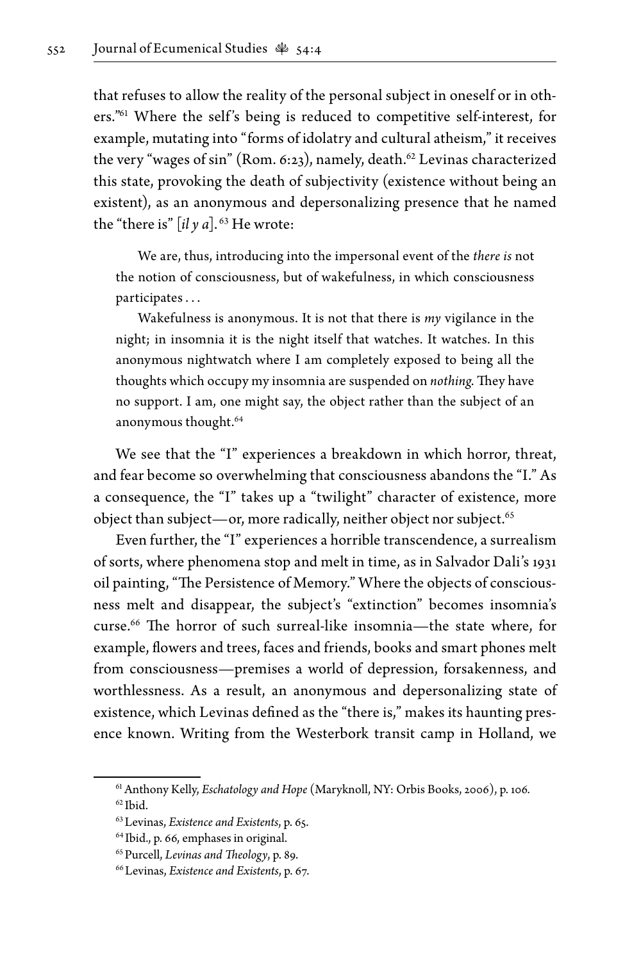that refuses to allow the reality of the personal subject in oneself or in others."<sup>61</sup> Where the self's being is reduced to competitive self-interest, for example, mutating into "forms of idolatry and cultural atheism," it receives the very "wages of sin" (Rom. 6:23), namely, death. $62$  Levinas characterized this state, provoking the death of subjectivity (existence without being an existent), as an anonymous and depersonalizing presence that he named the "there is"  $[i]$   $y$   $a$ <sup>]</sup>. <sup>63</sup> He wrote:

 We are, thus, introducing into the impersonal event of the *there is* not the notion of consciousness, but of wakefulness, in which consciousness participates . . .

 Wakefulness is anonymous. It is not that there is *my* vigilance in the night; in insomnia it is the night itself that watches. It watches. In this anonymous nightwatch where I am completely exposed to being all the thoughts which occupy my insomnia are suspended on *nothing*. They have no support. I am, one might say, the object rather than the subject of an anonymous thought.64

 We see that the "I" experiences a breakdown in which horror, threat, and fear become so overwhelming that consciousness abandons the "I." As a consequence, the "I" takes up a "twilight" character of existence, more object than subject—or, more radically, neither object nor subject.<sup>65</sup>

 Even further, the "I" experiences a horrible transcendence, a surrealism of sorts, where phenomena stop and melt in time, as in Salvador Dali's 1931 oil painting, "The Persistence of Memory." Where the objects of consciousness melt and disappear, the subject's "extinction" becomes insomnia's curse.<sup>66</sup> The horror of such surreal-like insomnia—the state where, for example, flowers and trees, faces and friends, books and smart phones melt from consciousness—premises a world of depression, forsakenness, and worthlessness. As a result, an anonymous and depersonalizing state of existence, which Levinas defined as the "there is," makes its haunting presence known. Writing from the Westerbork transit camp in Holland, we

<sup>61</sup> Anthony Kelly, *Eschatology and Hope* (Maryknoll, NY: Orbis Books, 2006), p. 106.  $62$  Ibid.

<sup>63</sup> Levinas, *Existence and Existents*, p. 65.

<sup>64</sup> Ibid., p. 66, emphases in original.

<sup>&</sup>lt;sup>65</sup> Purcell, Levinas and Theology, p. 89.

<sup>66</sup> Levinas, *Existence and Existents*, p. 67.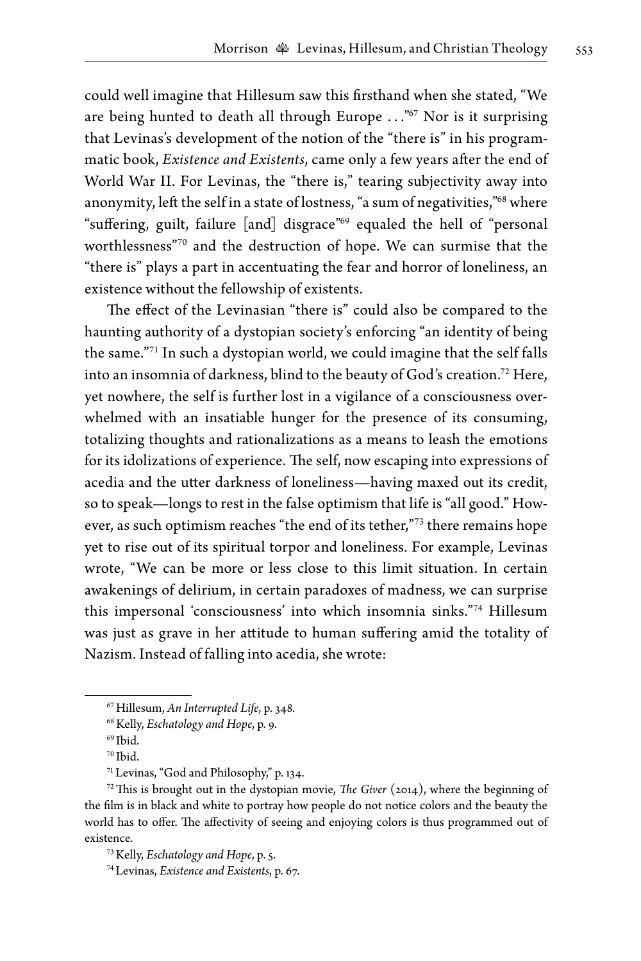could well imagine that Hillesum saw this firsthand when she stated, "We are being hunted to death all through Europe  $\ldots$ <sup>767</sup> Nor is it surprising that Levinas's development of the notion of the "there is" in his programmatic book, *Existence and Existents*, came only a few years after the end of World War II. For Levinas, the "there is," tearing subjectivity away into anonymity, left the self in a state of lostness, "a sum of negativities,"<sup>68</sup> where "suffering, guilt, failure [and] disgrace"<sup>69</sup> equaled the hell of "personal worthlessness"70 and the destruction of hope. We can surmise that the "there is" plays a part in accentuating the fear and horror of loneliness, an existence without the fellowship of existents.

The effect of the Levinasian "there is" could also be compared to the haunting authority of a dystopian society's enforcing "an identity of being the same."71 In such a dystopian world, we could imagine that the self falls into an insomnia of darkness, blind to the beauty of God's creation.72 Here, yet nowhere, the self is further lost in a vigilance of a consciousness overwhelmed with an insatiable hunger for the presence of its consuming, totalizing thoughts and rationalizations as a means to leash the emotions for its idolizations of experience. The self, now escaping into expressions of acedia and the utter darkness of loneliness—having maxed out its credit, so to speak—longs to rest in the false optimism that life is "all good." However, as such optimism reaches "the end of its tether,"73 there remains hope yet to rise out of its spiritual torpor and loneliness. For example, Levinas wrote, "We can be more or less close to this limit situation. In certain awakenings of delirium, in certain paradoxes of madness, we can surprise this impersonal 'consciousness' into which insomnia sinks."74 Hillesum was just as grave in her attitude to human suffering amid the totality of Nazism. Instead of falling into acedia, she wrote:

<sup>67</sup> Hillesum, *An Interrupted Life*, p. 348.

<sup>68</sup> Kelly, *Eschatology and Hope*, p. 9.

 $69$  Ibid.

<sup>70</sup> Ibid.

<sup>71</sup> Levinas, "God and Philosophy," p. 134.

<sup>&</sup>lt;sup>72</sup> This is brought out in the dystopian movie, *The Giver* (2014), where the beginning of the film is in black and white to portray how people do not notice colors and the beauty the world has to offer. The affectivity of seeing and enjoying colors is thus programmed out of existence.

<sup>73</sup> Kelly, *Eschatology and Hope*, p. 5.

<sup>74</sup> Levinas, *Existence and Existents*, p. 67.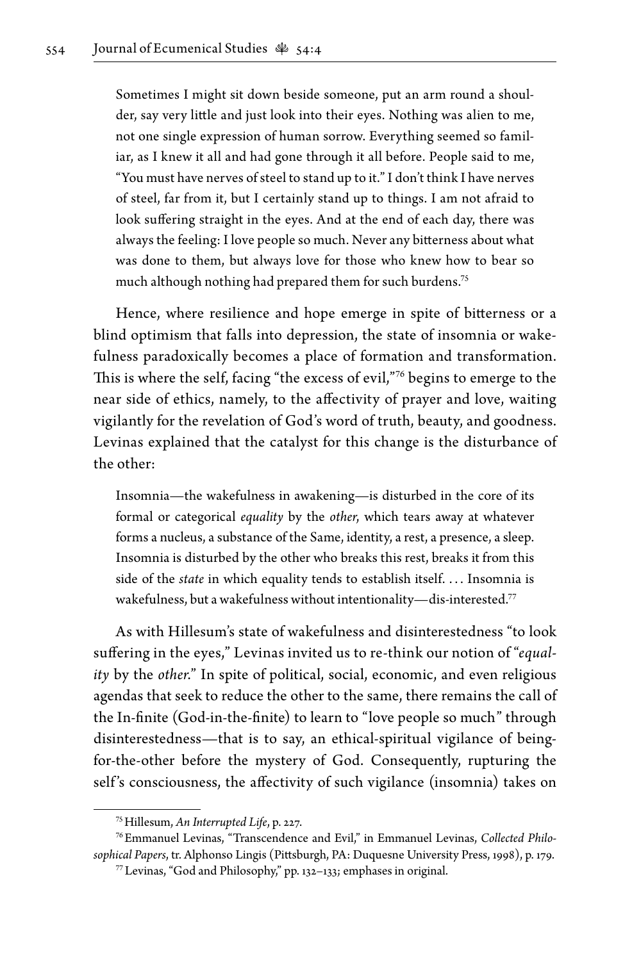Sometimes I might sit down beside someone, put an arm round a shoulder, say very little and just look into their eyes. Nothing was alien to me, not one single expression of human sorrow. Everything seemed so familiar, as I knew it all and had gone through it all before. People said to me, "You must have nerves of steel to stand up to it." I don't think I have nerves of steel, far from it, but I certainly stand up to things. I am not afraid to look suffering straight in the eyes. And at the end of each day, there was always the feeling: I love people so much. Never any bitterness about what was done to them, but always love for those who knew how to bear so much although nothing had prepared them for such burdens.<sup>75</sup>

Hence, where resilience and hope emerge in spite of bitterness or a blind optimism that falls into depression, the state of insomnia or wakefulness paradoxically becomes a place of formation and transformation. This is where the self, facing "the excess of evil,"76 begins to emerge to the near side of ethics, namely, to the affectivity of prayer and love, waiting vigilantly for the revelation of God's word of truth, beauty, and goodness. Levinas explained that the catalyst for this change is the disturbance of the other:

Insomnia—the wakefulness in awakening—is disturbed in the core of its formal or categorical *equality* by the *other*, which tears away at whatever forms a nucleus, a substance of the Same, identity, a rest, a presence, a sleep. Insomnia is disturbed by the other who breaks this rest, breaks it from this side of the *state* in which equality tends to establish itself. . . . Insomnia is wakefulness, but a wakefulness without intentionality—dis-interested. $^{77}$ 

 As with Hillesum's state of wakefulness and disinterestedness "to look suffering in the eyes," Levinas invited us to re-think our notion of "equal*ity* by the *other*." In spite of political, social, economic, and even religious agendas that seek to reduce the other to the same, there remains the call of the In-finite (God-in-the-finite) to learn to "love people so much" through disinterestedness—that is to say, an ethical- spiritual vigilance of beingfor- the- other before the mystery of God. Consequently, rupturing the self's consciousness, the affectivity of such vigilance (insomnia) takes on

<sup>75</sup> Hillesum, *An Interrupted Life*, p. 227.

<sup>76</sup> Emmanuel Levinas, "Transcendence and Evil," in Emmanuel Levinas, *Collected Philosophical Papers*, tr. Alphonso Lingis (Pitt sburgh, PA: Duquesne University Press, 1998), p. 179.

 $^{77}$  Levinas, "God and Philosophy," pp. 132–133; emphases in original.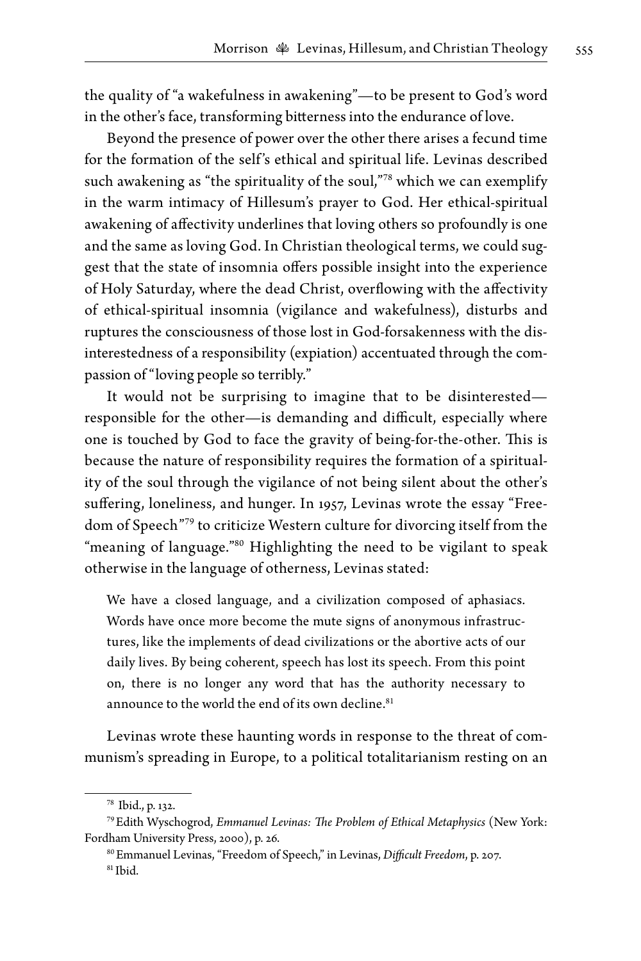the quality of "a wakefulness in awakening"—to be present to God's word in the other's face, transforming bitterness into the endurance of love.

 Beyond the presence of power over the other there arises a fecund time for the formation of the self's ethical and spiritual life. Levinas described such awakening as "the spirituality of the soul,"78 which we can exemplify in the warm intimacy of Hillesum's prayer to God. Her ethical- spiritual awakening of affectivity underlines that loving others so profoundly is one and the same as loving God. In Christian theological terms, we could suggest that the state of insomnia offers possible insight into the experience of Holy Saturday, where the dead Christ, overflowing with the affectivity of ethical- spiritual insomnia (vigilance and wakefulness), disturbs and ruptures the consciousness of those lost in God- forsakenness with the disinterestedness of a responsibility (expiation) accentuated through the compassion of "loving people so terribly."

 It would not be surprising to imagine that to be disinterested responsible for the other—is demanding and difficult, especially where one is touched by God to face the gravity of being-for-the-other. This is because the nature of responsibility requires the formation of a spirituality of the soul through the vigilance of not being silent about the other's suffering, loneliness, and hunger. In 1957, Levinas wrote the essay "Freedom of Speech"79 to criticize Western culture for divorcing itself from the "meaning of language."80 Highlighting the need to be vigilant to speak otherwise in the language of otherness, Levinas stated:

We have a closed language, and a civilization composed of aphasiacs. Words have once more become the mute signs of anonymous infrastructures, like the implements of dead civilizations or the abortive acts of our daily lives. By being coherent, speech has lost its speech. From this point on, there is no longer any word that has the authority necessary to announce to the world the end of its own decline.<sup>81</sup>

 Levinas wrote these haunting words in response to the threat of communism's spreading in Europe, to a political totalitarianism resting on an

<sup>78</sup> Ibid., p. 132.

<sup>&</sup>lt;sup>79</sup> Edith Wyschogrod, *Emmanuel Levinas: The Problem of Ethical Metaphysics* (New York: Fordham University Press, 2000), p. 26.

<sup>80</sup> Emmanuel Levinas, "Freedom of Speech," in Levinas, *Diffi cult Freedom*, p. 207.  $81$  Ibid.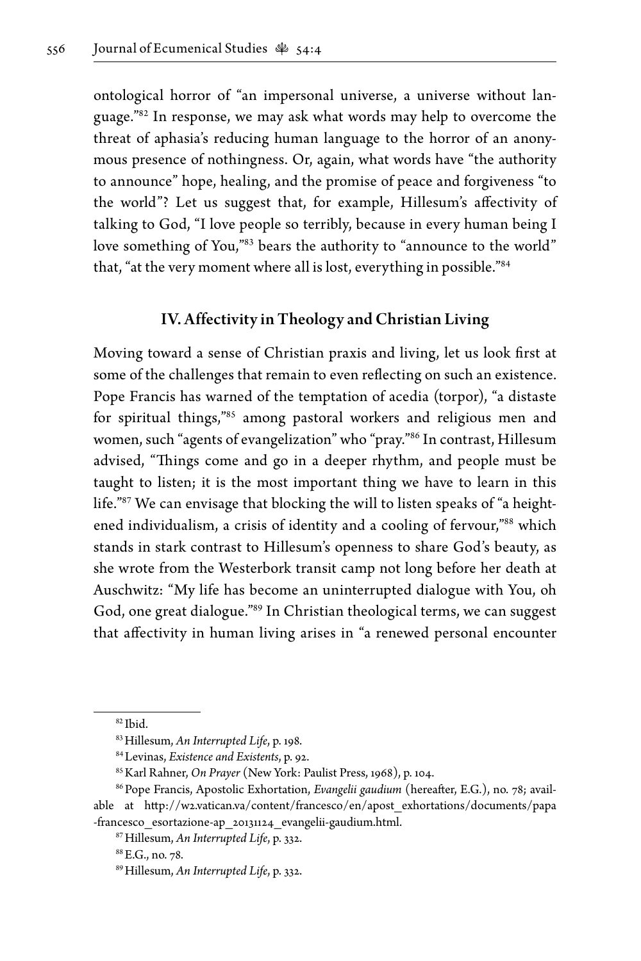ontological horror of "an impersonal universe, a universe without language."82 In response, we may ask what words may help to overcome the threat of aphasia's reducing human language to the horror of an anonymous presence of nothingness. Or, again, what words have "the authority to announce" hope, healing, and the promise of peace and forgiveness "to the world"? Let us suggest that, for example, Hillesum's affectivity of talking to God, "I love people so terribly, because in every human being I love something of You,"83 bears the authority to "announce to the world" that, "at the very moment where all is lost, everything in possible."84

#### IV. Affectivity in Theology and Christian Living

Moving toward a sense of Christian praxis and living, let us look first at some of the challenges that remain to even reflecting on such an existence. Pope Francis has warned of the temptation of acedia (torpor), "a distaste for spiritual things,"85 among pastoral workers and religious men and women, such "agents of evangelization" who "pray."86 In contrast, Hillesum advised, "Things come and go in a deeper rhythm, and people must be taught to listen; it is the most important thing we have to learn in this life."87 We can envisage that blocking the will to listen speaks of "a heightened individualism, a crisis of identity and a cooling of fervour,"88 which stands in stark contrast to Hillesum's openness to share God's beauty, as she wrote from the Westerbork transit camp not long before her death at Auschwitz: "My life has become an uninterrupted dialogue with You, oh God, one great dialogue."<sup>89</sup> In Christian theological terms, we can suggest that affectivity in human living arises in "a renewed personal encounter

<sup>82</sup> Ibid.

<sup>83</sup> Hillesum, *An Interrupted Life*, p. 198.

<sup>84</sup> Levinas, *Existence and Existents*, p. 92.

<sup>85</sup> Karl Rahner, *On Prayer* (New York: Paulist Press, 1968), p. 104.

<sup>&</sup>lt;sup>86</sup> Pope Francis, Apostolic Exhortation, *Evangelii gaudium* (hereafter, E.G.), no. 78; avail-

able at http://w2.vatican.va/content/francesco/en/apost\_exhortations/documents/papa - francesco\_esortazione- ap\_20131124\_evangelii- gaudium.html.

<sup>87</sup> Hillesum, *An Interrupted Life*, p. 332.

<sup>88</sup> E.G., no. 78.

<sup>89</sup> Hillesum, *An Interrupted Life*, p. 332.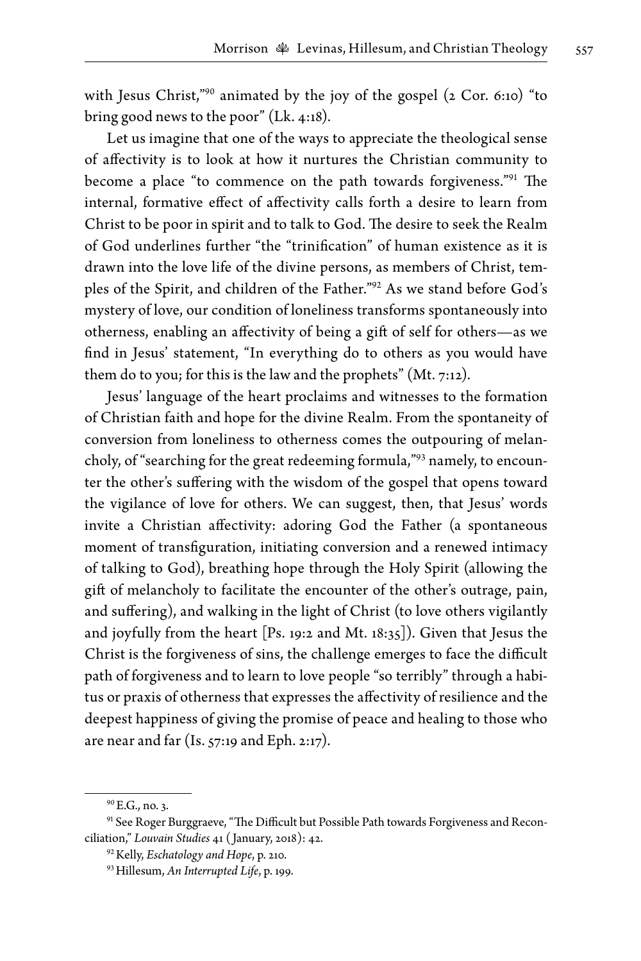with Jesus Christ,"<sup>90</sup> animated by the joy of the gospel (2 Cor. 6:10) "to bring good news to the poor" (Lk. 4:18).

 Let us imagine that one of the ways to appreciate the theological sense of affectivity is to look at how it nurtures the Christian community to become a place "to commence on the path towards forgiveness."<sup>91</sup> The internal, formative effect of affectivity calls forth a desire to learn from Christ to be poor in spirit and to talk to God. The desire to seek the Realm of God underlines further "the "trinification" of human existence as it is drawn into the love life of the divine persons, as members of Christ, temples of the Spirit, and children of the Father."92 As we stand before God's mystery of love, our condition of loneliness transforms spontaneously into otherness, enabling an affectivity of being a gift of self for others—as we find in Jesus' statement, "In everything do to others as you would have them do to you; for this is the law and the prophets" (Mt. 7:12).

 Jesus' language of the heart proclaims and witnesses to the formation of Christian faith and hope for the divine Realm. From the spontaneity of conversion from loneliness to otherness comes the outpouring of melancholy, of "searching for the great redeeming formula,"93 namely, to encounter the other's suffering with the wisdom of the gospel that opens toward the vigilance of love for others. We can suggest, then, that Jesus' words invite a Christian affectivity: adoring God the Father (a spontaneous moment of transfiguration, initiating conversion and a renewed intimacy of talking to God), breathing hope through the Holy Spirit (allowing the gift of melancholy to facilitate the encounter of the other's outrage, pain, and suffering), and walking in the light of Christ (to love others vigilantly and joyfully from the heart [Ps. 19:2 and Mt. 18:35]). Given that Jesus the Christ is the forgiveness of sins, the challenge emerges to face the difficult path of forgiveness and to learn to love people "so terribly" through a habitus or praxis of otherness that expresses the affectivity of resilience and the deepest happiness of giving the promise of peace and healing to those who are near and far (Is.  $57:19$  and Eph. 2:17).

<sup>90</sup> E.G., no. 3.

<sup>&</sup>lt;sup>91</sup> See Roger Burggraeve, "The Difficult but Possible Path towards Forgiveness and Reconciliation," *Louvain Studies* 41 ( January, 2018): 42.

<sup>92</sup> Kelly, *Eschatology and Hope*, p. 210.

<sup>93</sup> Hillesum, *An Interrupted Life*, p. 199.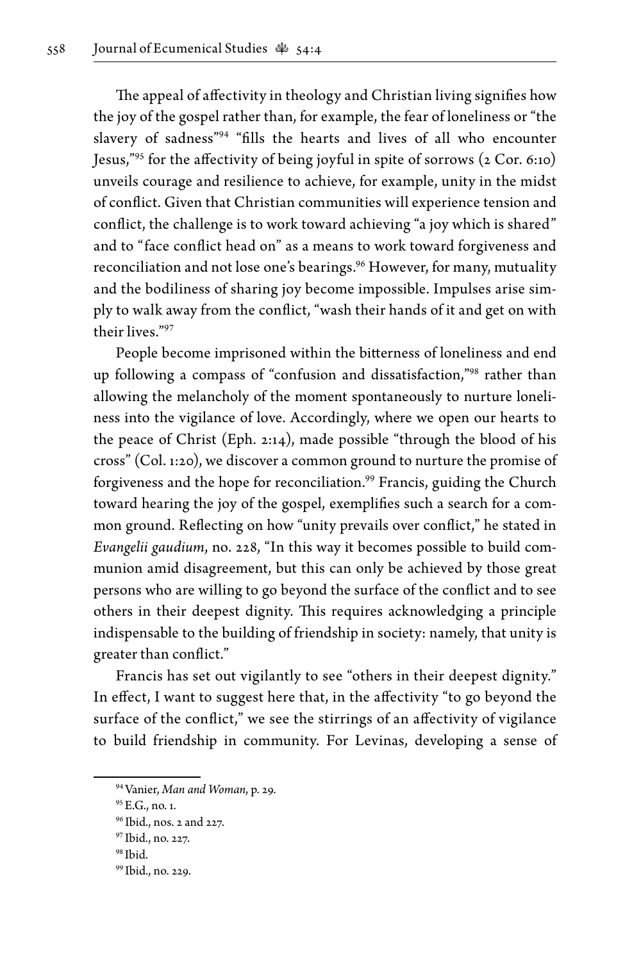The appeal of affectivity in theology and Christian living signifies how the joy of the gospel rather than, for example, the fear of loneliness or "the slavery of sadness"<sup>94</sup> "fills the hearts and lives of all who encounter Jesus,<sup>"95</sup> for the affectivity of being joyful in spite of sorrows  $(2 \text{ Cor. } 6:10)$ unveils courage and resilience to achieve, for example, unity in the midst of conflict. Given that Christian communities will experience tension and conflict, the challenge is to work toward achieving "a joy which is shared" and to "face conflict head on" as a means to work toward forgiveness and reconciliation and not lose one's bearings.<sup>96</sup> However, for many, mutuality and the bodiliness of sharing joy become impossible. Impulses arise simply to walk away from the conflict, "wash their hands of it and get on with their lives."97

People become imprisoned within the bitterness of loneliness and end up following a compass of "confusion and dissatisfaction,"98 rather than allowing the melancholy of the moment spontaneously to nurture loneliness into the vigilance of love. Accordingly, where we open our hearts to the peace of Christ (Eph. 2:14), made possible "through the blood of his cross" (Col. 1:20), we discover a common ground to nurture the promise of forgiveness and the hope for reconciliation.<sup>99</sup> Francis, guiding the Church toward hearing the joy of the gospel, exemplifies such a search for a common ground. Reflecting on how "unity prevails over conflict," he stated in *Evangelii gaudium*, no. 228, "In this way it becomes possible to build communion amid disagreement, but this can only be achieved by those great persons who are willing to go beyond the surface of the conflict and to see others in their deepest dignity. This requires acknowledging a principle indispensable to the building of friendship in society: namely, that unity is greater than conflict."

 Francis has set out vigilantly to see "others in their deepest dignity." In effect, I want to suggest here that, in the affectivity "to go beyond the surface of the conflict," we see the stirrings of an affectivity of vigilance to build friendship in community. For Levinas, developing a sense of

<sup>94</sup> Vanier, *Man and Woman*, p. 29.

<sup>95</sup> E.G., no. 1.

<sup>96</sup> Ibid., nos. 2 and 227.

<sup>97</sup> Ibid., no. 227.

<sup>98</sup> Ibid.

<sup>99</sup> Ibid., no. 229.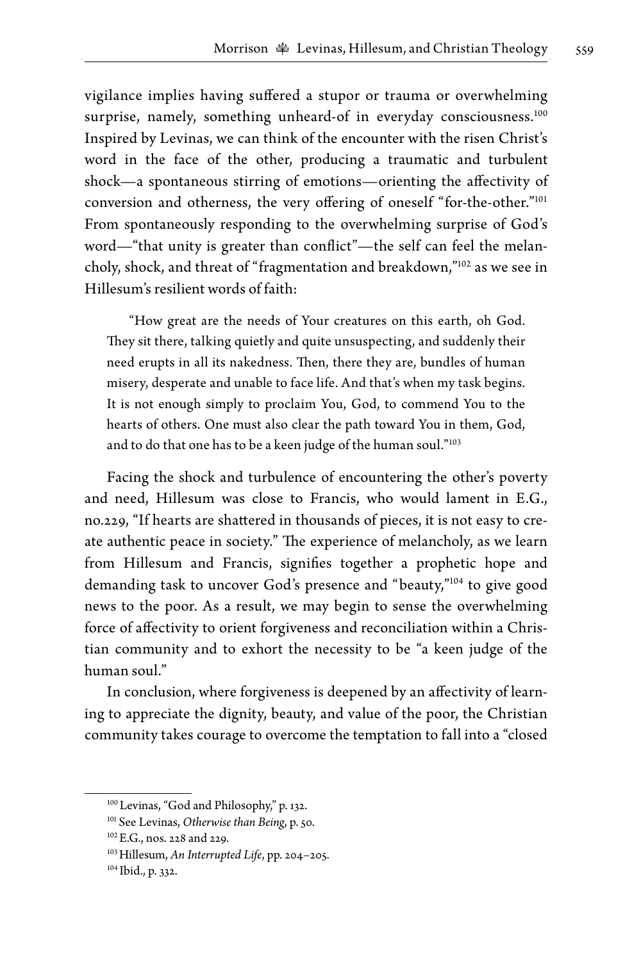vigilance implies having suffered a stupor or trauma or overwhelming surprise, namely, something unheard-of in everyday consciousness.<sup>100</sup> Inspired by Levinas, we can think of the encounter with the risen Christ's word in the face of the other, producing a traumatic and turbulent shock—a spontaneous stirring of emotions—orienting the affectivity of conversion and otherness, the very offering of oneself "for-the-other."<sup>101</sup> From spontaneously responding to the overwhelming surprise of God's word—"that unity is greater than conflict"—the self can feel the melancholy, shock, and threat of "fragmentation and breakdown,"102 as we see in Hillesum's resilient words of faith:

 "How great are the needs of Your creatures on this earth, oh God. They sit there, talking quietly and quite unsuspecting, and suddenly their need erupts in all its nakedness. Then, there they are, bundles of human misery, desperate and unable to face life. And that's when my task begins. It is not enough simply to proclaim You, God, to commend You to the hearts of others. One must also clear the path toward You in them, God, and to do that one has to be a keen judge of the human soul."<sup>103</sup>

 Facing the shock and turbulence of encountering the other's poverty and need, Hillesum was close to Francis, who would lament in E.G., no.229, "If hearts are shattered in thousands of pieces, it is not easy to create authentic peace in society." The experience of melancholy, as we learn from Hillesum and Francis, signifies together a prophetic hope and demanding task to uncover God's presence and "beauty,"104 to give good news to the poor. As a result, we may begin to sense the overwhelming force of affectivity to orient forgiveness and reconciliation within a Christian community and to exhort the necessity to be "a keen judge of the human soul."

In conclusion, where forgiveness is deepened by an affectivity of learning to appreciate the dignity, beauty, and value of the poor, the Christian community takes courage to overcome the temptation to fall into a "closed

<sup>100</sup> Levinas, "God and Philosophy," p. 132.

<sup>101</sup> See Levinas, *Otherwise than Being*, p. 50.

<sup>102</sup> E.G., nos. 228 and 229.

<sup>103</sup> Hillesum, *An Interrupted Life*, pp. 204–205.

<sup>104</sup> Ibid., p. 332.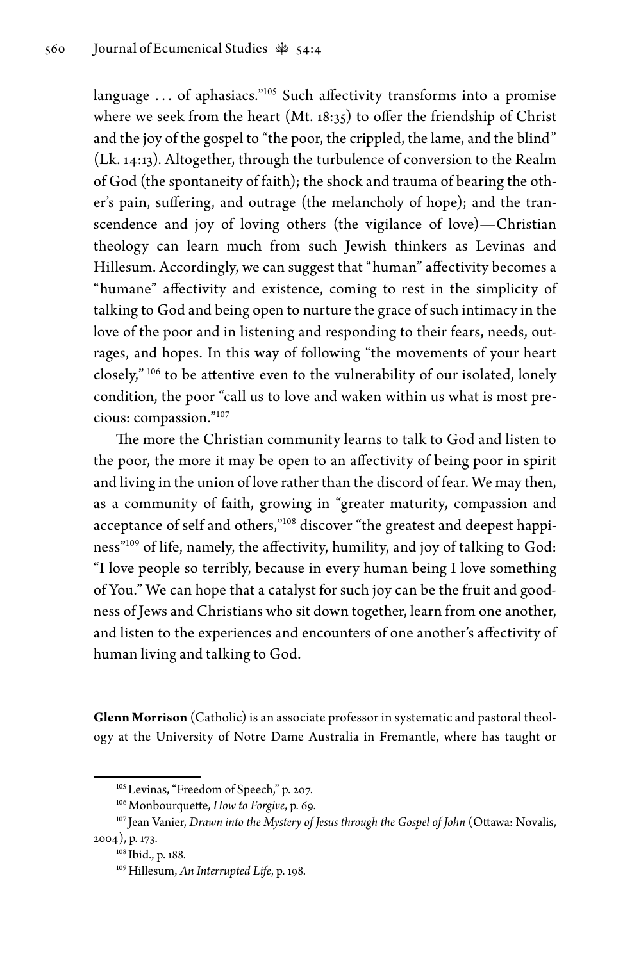language  $\ldots$  of aphasiacs."<sup>105</sup> Such affectivity transforms into a promise where we seek from the heart (Mt. 18:35) to offer the friendship of Christ and the joy of the gospel to "the poor, the crippled, the lame, and the blind" (Lk. 14:13). Altogether, through the turbulence of conversion to the Realm of God (the spontaneity of faith); the shock and trauma of bearing the other's pain, suffering, and outrage (the melancholy of hope); and the transcendence and joy of loving others (the vigilance of love)—Christian theology can learn much from such Jewish thinkers as Levinas and Hillesum. Accordingly, we can suggest that "human" affectivity becomes a "humane" affectivity and existence, coming to rest in the simplicity of talking to God and being open to nurture the grace of such intimacy in the love of the poor and in listening and responding to their fears, needs, outrages, and hopes. In this way of following "the movements of your heart closely," $106$  to be attentive even to the vulnerability of our isolated, lonely condition, the poor "call us to love and waken within us what is most precious: compassion."107

The more the Christian community learns to talk to God and listen to the poor, the more it may be open to an affectivity of being poor in spirit and living in the union of love rather than the discord of fear. We may then, as a community of faith, growing in "greater maturity, compassion and acceptance of self and others,"108 discover "the greatest and deepest happiness"<sup>109</sup> of life, namely, the affectivity, humility, and joy of talking to God: "I love people so terribly, because in every human being I love something of You." We can hope that a catalyst for such joy can be the fruit and goodness of Jews and Christians who sit down together, learn from one another, and listen to the experiences and encounters of one another's affectivity of human living and talking to God.

**Glenn Morrison** (Catholic) is an associate professor in systematic and pastoral theology at the University of Notre Dame Australia in Fremantle, where has taught or

<sup>105</sup> Levinas, "Freedom of Speech," p. 207.

<sup>&</sup>lt;sup>106</sup> Monbourquette, How to Forgive, p. 69.

<sup>&</sup>lt;sup>107</sup> Jean Vanier, *Drawn into the Mystery of Jesus through the Gospel of John* (Ottawa: Novalis, 2004), p. 173.

<sup>108</sup> Ibid., p. 188.

<sup>109</sup> Hillesum, *An Interrupted Life*, p. 198.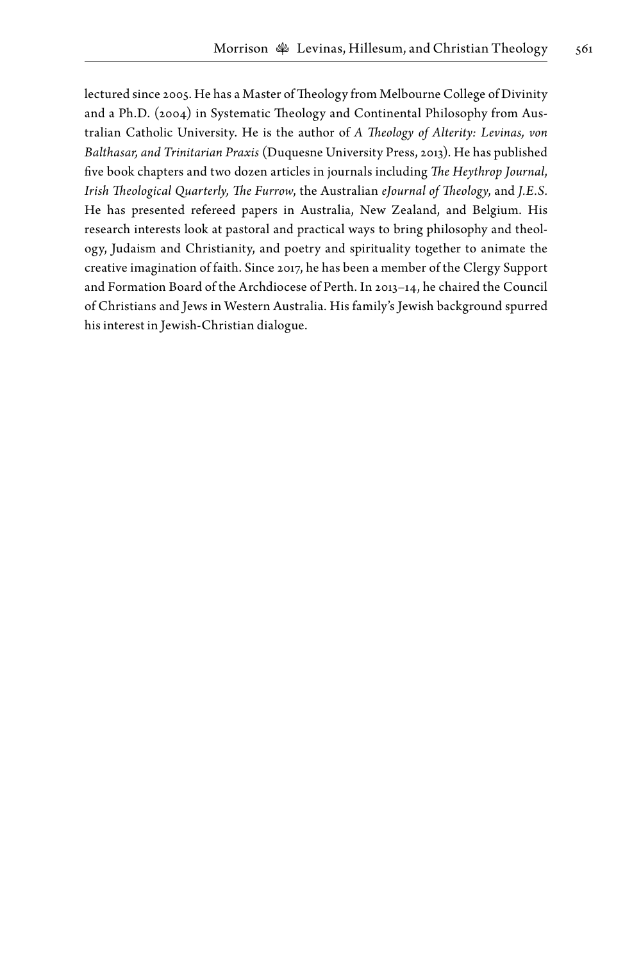lectured since 2005. He has a Master of Theology from Melbourne College of Divinity and a Ph.D. (2004) in Systematic Theology and Continental Philosophy from Australian Catholic University. He is the author of *A Th eology of Alterity: Levinas, von Balthasar, and Trinitarian Praxis* (Duquesne University Press, 2013). He has published five book chapters and two dozen articles in journals including *The Heythrop Journal*, *Irish Theological Quarterly, The Furrow, the Australian eJournal of Theology, and J.E.S.* He has presented refereed papers in Australia, New Zealand, and Belgium. His research interests look at pastoral and practical ways to bring philosophy and theology, Judaism and Christianity, and poetry and spirituality together to animate the creative imagination of faith. Since 2017, he has been a member of the Clergy Support and Formation Board of the Archdiocese of Perth. In 2013–14, he chaired the Council of Christians and Jews in Western Australia. His family's Jewish background spurred his interest in Jewish-Christian dialogue.